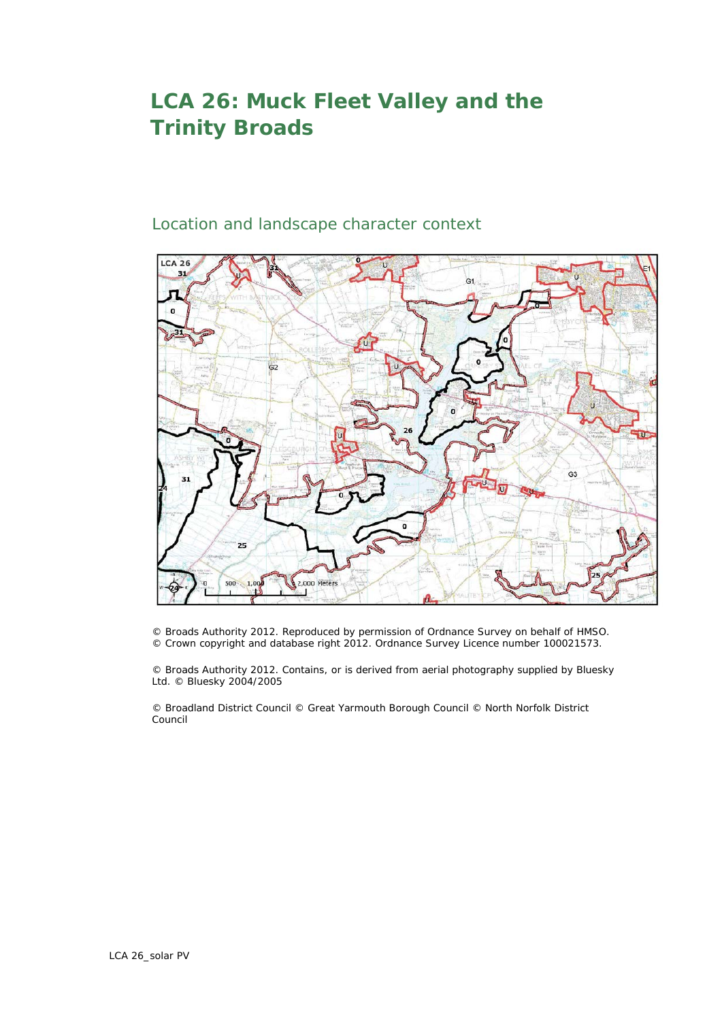## **LCA 26: Muck Fleet Valley and the Trinity Broads**

## Location and landscape character context



© Broads Authority 2012. Reproduced by permission of Ordnance Survey on behalf of HMSO. © Crown copyright and database right 2012. Ordnance Survey Licence number 100021573.

© Broads Authority 2012. Contains, or is derived from aerial photography supplied by Bluesky Ltd. © Bluesky 2004/2005

© Broadland District Council © Great Yarmouth Borough Council © North Norfolk District Council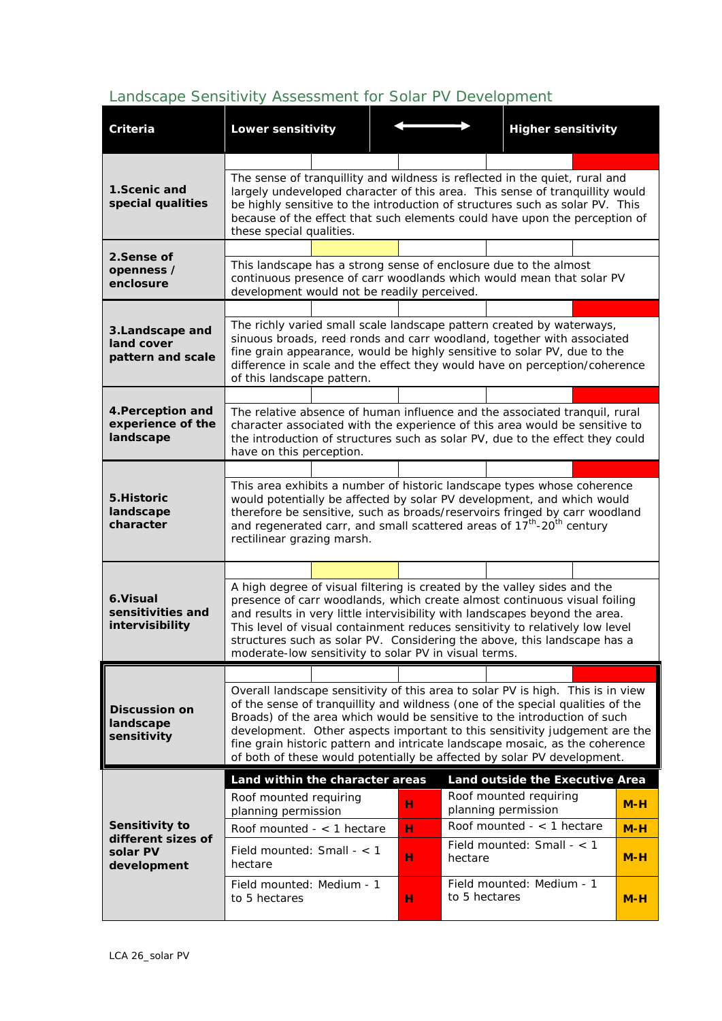## *Landscape Sensitivity Assessment for Solar PV Development*

| Criteria                                                        | Lower sensitivity                                                                                                                                                                                                                                                                                                                                                                                                                                                                      |  |  |   |               | <b>Higher sensitivity</b>                     |  |       |
|-----------------------------------------------------------------|----------------------------------------------------------------------------------------------------------------------------------------------------------------------------------------------------------------------------------------------------------------------------------------------------------------------------------------------------------------------------------------------------------------------------------------------------------------------------------------|--|--|---|---------------|-----------------------------------------------|--|-------|
|                                                                 |                                                                                                                                                                                                                                                                                                                                                                                                                                                                                        |  |  |   |               |                                               |  |       |
| 1.Scenic and<br>special qualities                               | The sense of tranquillity and wildness is reflected in the quiet, rural and<br>largely undeveloped character of this area. This sense of tranquillity would<br>be highly sensitive to the introduction of structures such as solar PV. This<br>because of the effect that such elements could have upon the perception of<br>these special qualities.                                                                                                                                  |  |  |   |               |                                               |  |       |
| 2. Sense of                                                     |                                                                                                                                                                                                                                                                                                                                                                                                                                                                                        |  |  |   |               |                                               |  |       |
| openness /<br>enclosure                                         | This landscape has a strong sense of enclosure due to the almost<br>continuous presence of carr woodlands which would mean that solar PV<br>development would not be readily perceived.                                                                                                                                                                                                                                                                                                |  |  |   |               |                                               |  |       |
|                                                                 |                                                                                                                                                                                                                                                                                                                                                                                                                                                                                        |  |  |   |               |                                               |  |       |
| 3.Landscape and<br>land cover<br>pattern and scale              | The richly varied small scale landscape pattern created by waterways,<br>sinuous broads, reed ronds and carr woodland, together with associated<br>fine grain appearance, would be highly sensitive to solar PV, due to the<br>difference in scale and the effect they would have on perception/coherence<br>of this landscape pattern.                                                                                                                                                |  |  |   |               |                                               |  |       |
|                                                                 |                                                                                                                                                                                                                                                                                                                                                                                                                                                                                        |  |  |   |               |                                               |  |       |
| 4. Perception and<br>experience of the<br>landscape             | The relative absence of human influence and the associated tranquil, rural<br>character associated with the experience of this area would be sensitive to<br>the introduction of structures such as solar PV, due to the effect they could<br>have on this perception.                                                                                                                                                                                                                 |  |  |   |               |                                               |  |       |
|                                                                 |                                                                                                                                                                                                                                                                                                                                                                                                                                                                                        |  |  |   |               |                                               |  |       |
| 5.Historic<br>landscape<br>character                            | This area exhibits a number of historic landscape types whose coherence<br>would potentially be affected by solar PV development, and which would<br>therefore be sensitive, such as broads/reservoirs fringed by carr woodland<br>and regenerated carr, and small scattered areas of 17 <sup>th</sup> -20 <sup>th</sup> century<br>rectilinear grazing marsh.                                                                                                                         |  |  |   |               |                                               |  |       |
|                                                                 |                                                                                                                                                                                                                                                                                                                                                                                                                                                                                        |  |  |   |               |                                               |  |       |
| 6.Visual<br>sensitivities and<br>intervisibility                | A high degree of visual filtering is created by the valley sides and the<br>presence of carr woodlands, which create almost continuous visual foiling<br>and results in very little intervisibility with landscapes beyond the area.<br>This level of visual containment reduces sensitivity to relatively low level<br>structures such as solar PV. Considering the above, this landscape has a<br>moderate-low sensitivity to solar PV in visual terms.                              |  |  |   |               |                                               |  |       |
|                                                                 |                                                                                                                                                                                                                                                                                                                                                                                                                                                                                        |  |  |   |               |                                               |  |       |
| <b>Discussion on</b><br>landscape<br>sensitivity                | Overall landscape sensitivity of this area to solar PV is high. This is in view<br>of the sense of tranquillity and wildness (one of the special qualities of the<br>Broads) of the area which would be sensitive to the introduction of such<br>development. Other aspects important to this sensitivity judgement are the<br>fine grain historic pattern and intricate landscape mosaic, as the coherence<br>of both of these would potentially be affected by solar PV development. |  |  |   |               |                                               |  |       |
|                                                                 | Land within the character areas                                                                                                                                                                                                                                                                                                                                                                                                                                                        |  |  |   |               | Land outside the Executive Area               |  |       |
| Sensitivity to<br>different sizes of<br>solar PV<br>development | Roof mounted requiring<br>planning permission                                                                                                                                                                                                                                                                                                                                                                                                                                          |  |  | н |               | Roof mounted requiring<br>planning permission |  | $M-H$ |
|                                                                 | Roof mounted $-$ < 1 hectare                                                                                                                                                                                                                                                                                                                                                                                                                                                           |  |  | н |               | Roof mounted $-$ < 1 hectare                  |  | $M-H$ |
|                                                                 | Field mounted: Small $-$ < 1<br>hectare                                                                                                                                                                                                                                                                                                                                                                                                                                                |  |  | н | hectare       | Field mounted: Small - $<$ 1                  |  | $M-H$ |
|                                                                 | Field mounted: Medium - 1<br>to 5 hectares                                                                                                                                                                                                                                                                                                                                                                                                                                             |  |  | н | to 5 hectares | Field mounted: Medium - 1                     |  | $M-H$ |